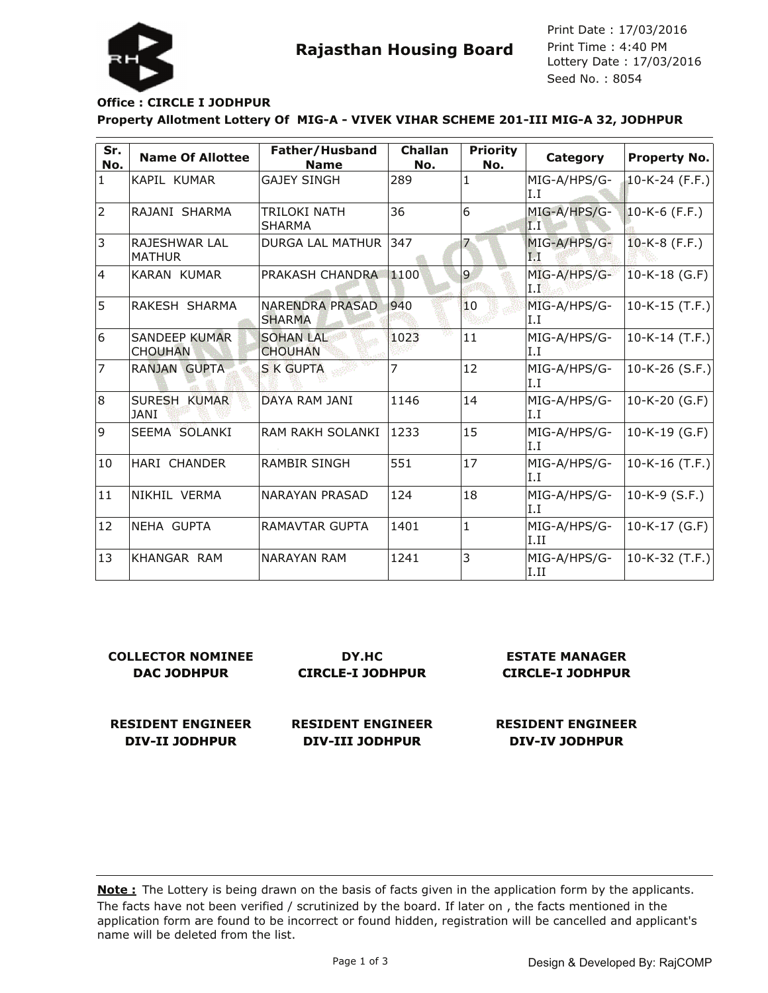

Lottery Date : 17/03/2016 Seed No. : 8054 Print Date : 17/03/2016 Print Time : 4:40 PM

## **Office : CIRCLE I JODHPUR**

**Property Allotment Lottery Of MIG-A - VIVEK VIHAR SCHEME 201-III MIG-A 32, JODHPUR**

| Sr.<br>No. | <b>Name Of Allottee</b>                | Father/Husband<br><b>Name</b>           | Challan<br>No. | <b>Priority</b><br>No. | Category             | <b>Property No.</b> |
|------------|----------------------------------------|-----------------------------------------|----------------|------------------------|----------------------|---------------------|
| 1          | KAPIL KUMAR                            | <b>GAJEY SINGH</b>                      | 289            | $\mathbf{1}$           | MIG-A/HPS/G-<br>IJ.  | 10-K-24 (F.F.)      |
| 2          | RAJANI SHARMA                          | TRILOKI NATH<br><b>SHARMA</b>           | 36             | $\overline{6}$         | MIG-A/HPS/G-<br> I,I | $10-K-6$ (F.F.)     |
| 3          | RAJESHWAR LAL<br><b>MATHUR</b>         | <b>DURGA LAL MATHUR</b>                 | 347            | 7                      | MIG-A/HPS/G-<br>I I  | $10-K-8$ (F.F.)     |
| 4          | KARAN KUMAR                            | <b>PRAKASH CHANDRA</b>                  | 1100           | 9                      | MIG-A/HPS/G-<br>I.F  | $10-K-18$ (G.F)     |
| 5          | RAKESH SHARMA                          | <b>NARENDRA PRASAD</b><br><b>SHARMA</b> | 940            | 10                     | MIG-A/HPS/G-<br>I.I  | $ 10-K-15(T.F.) $   |
| 6          | <b>SANDEEP KUMAR</b><br><b>CHOUHAN</b> | <b>SOHAN LAL</b><br><b>CHOUHAN</b>      | 1023           | 11                     | MIG-A/HPS/G-<br>I.I  | $10-K-14$ (T.F.)    |
| 7          | <b>RANJAN GUPTA</b>                    | S K GUPTA                               | 7              | 12                     | MIG-A/HPS/G-<br>I.I  | 10-K-26 $(S.F.)$    |
| 8          | SURESH KUMAR<br><b>JANI</b>            | DAYA RAM JANI                           | 1146           | 14                     | MIG-A/HPS/G-<br>I.I  | $10-K-20$ (G.F)     |
| 9          | SEEMA SOLANKI                          | <b>RAM RAKH SOLANKI</b>                 | 1233           | 15                     | MIG-A/HPS/G-<br>I.I  | $10-K-19$ (G.F)     |
| 10         | HARI CHANDER                           | <b>RAMBIR SINGH</b>                     | 551            | 17                     | MIG-A/HPS/G-<br>I.I  | 10-K-16 $(T.F.)$    |
| 11         | NIKHIL VERMA                           | <b>NARAYAN PRASAD</b>                   | 124            | 18                     | MIG-A/HPS/G-<br>I.I  | $10-K-9$ (S.F.)     |
| 12         | NEHA GUPTA                             | RAMAVTAR GUPTA                          | 1401           | $\mathbf{1}$           | MIG-A/HPS/G-<br>I.II | 10-K-17 (G.F)       |
| 13         | KHANGAR RAM                            | <b>NARAYAN RAM</b>                      | 1241           | 3                      | MIG-A/HPS/G-<br>I.II | 10-K-32 (T.F.)      |

| <b>COLLECTOR NOMINEE</b> | DY.HC                    | <b>ESTATE MANAGER</b>    |  |
|--------------------------|--------------------------|--------------------------|--|
| DAC JODHPUR              | <b>CIRCLE-I JODHPUR</b>  | <b>CIRCLE-I JODHPUR</b>  |  |
| <b>RESIDENT ENGINEER</b> | <b>RESIDENT ENGINEER</b> | <b>RESIDENT ENGINEER</b> |  |
| DIV-II JODHPUR           | DIV-III JODHPUR          | <b>DIV-IV JODHPUR</b>    |  |

The facts have not been verified / scrutinized by the board. If later on , the facts mentioned in the application form are found to be incorrect or found hidden, registration will be cancelled and applicant's name will be deleted from the list. **Note :** The Lottery is being drawn on the basis of facts given in the application form by the applicants.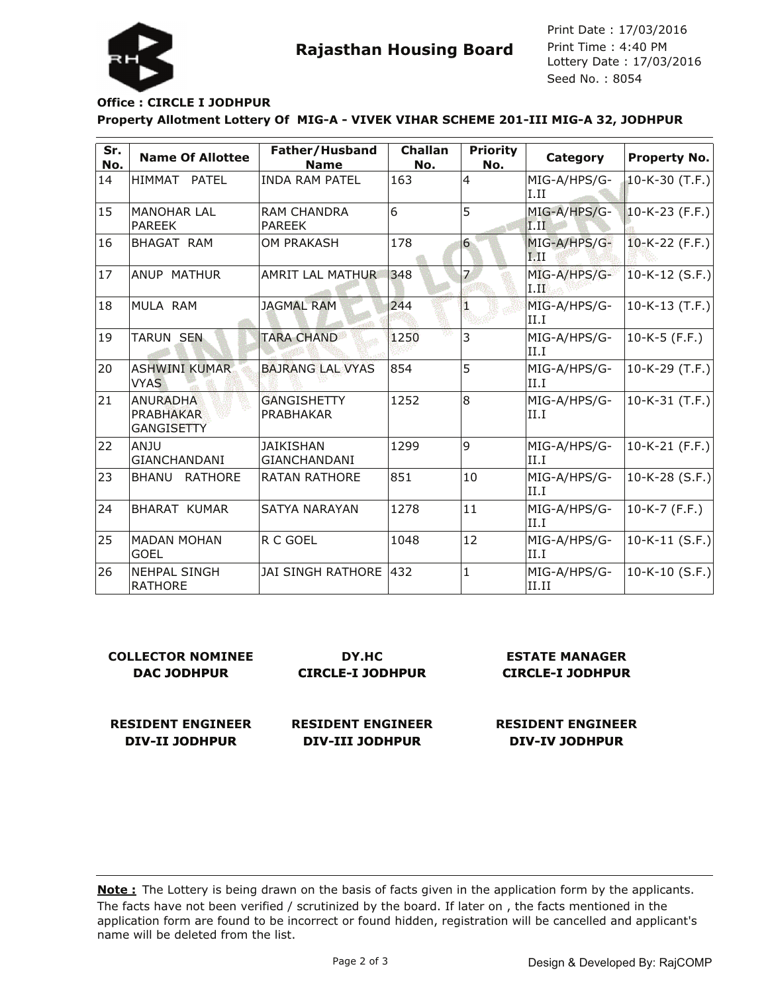

Lottery Date : 17/03/2016 Seed No. : 8054 Print Date : 17/03/2016 Print Time : 4:40 PM

## **Office : CIRCLE I JODHPUR**

**Property Allotment Lottery Of MIG-A - VIVEK VIHAR SCHEME 201-III MIG-A 32, JODHPUR**

| Sr.<br>No. | <b>Name Of Allottee</b>                           | Father/Husband<br><b>Name</b>           | <b>Challan</b><br>No. | <b>Priority</b><br>No. | Category                                        | <b>Property No.</b> |
|------------|---------------------------------------------------|-----------------------------------------|-----------------------|------------------------|-------------------------------------------------|---------------------|
| 14         | HIMMAT PATEL                                      | <b>INDA RAM PATEL</b>                   | 163                   | $\overline{4}$         | MIG-A/HPS/G-<br>I.II                            | 10-K-30 $(T.F.)$    |
| 15         | MANOHAR LAL<br><b>PAREEK</b>                      | <b>RAM CHANDRA</b><br><b>PAREEK</b>     | 6                     | 5                      | MIG-A/HPS/G-<br>$\overline{I}$ . $\overline{I}$ | $10-K-23$ (F.F.)    |
| 16         | BHAGAT RAM                                        | <b>OM PRAKASH</b>                       | 178                   | 6                      | MIG-A/HPS/G-<br>1.11                            | $10-K-22$ (F.F.)    |
| 17         | ANUP MATHUR                                       | AMRIT LAL MATHUR                        | 348                   | 7                      | MIG-A/HPS/G-<br>$_{\rm I.II}$                   | $10-K-12$ (S.F.)    |
| 18         | MULA RAM                                          | <b>JAGMAL RAM</b>                       | 244                   | 1                      | MIG-A/HPS/G-<br>II.I                            | $10-K-13$ (T.F.)    |
| 19         | <b>TARUN SEN</b>                                  | <b>TARA CHAND</b>                       | 1250                  | 3                      | MIG-A/HPS/G-<br>II.I                            | $10-K-5$ (F.F.)     |
| 20         | <b>ASHWINI KUMAR</b><br><b>VYAS</b>               | <b>BAJRANG LAL VYAS</b>                 | 854                   | 5                      | MIG-A/HPS/G-<br>II.I                            | $10-K-29$ (T.F.)    |
| 21         | ANURADHA<br><b>PRABHAKAR</b><br><b>GANGISETTY</b> | <b>GANGISHETTY</b><br>PRABHAKAR         | 1252                  | 8                      | MIG-A/HPS/G-<br>II.I                            | $10-K-31$ (T.F.)    |
| 22         | lanju<br>GIANCHANDANI                             | <b>JAIKISHAN</b><br><b>GIANCHANDANI</b> | 1299                  | 9                      | MIG-A/HPS/G-<br>II.I                            | $10-K-21$ (F.F.)    |
| 23         | <b>RATHORE</b><br><b>BHANU</b>                    | <b>RATAN RATHORE</b>                    | 851                   | 10                     | MIG-A/HPS/G-<br>II.I                            | $ 10-K-28(S.F.) $   |
| 24         | <b>BHARAT KUMAR</b>                               | <b>SATYA NARAYAN</b>                    | 1278                  | 11                     | MIG-A/HPS/G-<br>II.I                            | $10-K-7$ (F.F.)     |
| 25         | <b>MADAN MOHAN</b><br><b>GOEL</b>                 | R C GOEL                                | 1048                  | 12                     | MIG-A/HPS/G-<br>II.I                            | $10-K-11$ (S.F.)    |
| 26         | INEHPAL SINGH<br><b>RATHORE</b>                   | <b>JAI SINGH RATHORE 1432</b>           |                       | 1                      | MIG-A/HPS/G-<br>II.II                           | $10-K-10$ (S.F.)    |

| <b>COLLECTOR NOMINEE</b> | DY.HC                    | ES1         |  |
|--------------------------|--------------------------|-------------|--|
| DAC JODHPUR              | <b>CIRCLE-I JODHPUR</b>  | <b>CIR</b>  |  |
|                          |                          |             |  |
| <b>RESIDENT ENGINEER</b> | <b>RESIDENT ENGINEER</b> | <b>RESI</b> |  |

**DIV-II JODHPUR**

**RESIDENT ENGINEER DIV-III JODHPUR**

**FATE MANAGER CIRCLE-I JODHPUR**

**RESIDENT ENGINEER DIV-IV JODHPUR**

The facts have not been verified / scrutinized by the board. If later on, the facts mentioned in the application form are found to be incorrect or found hidden, registration will be cancelled and applicant's name will be deleted from the list. **Note :** The Lottery is being drawn on the basis of facts given in the application form by the applicants.